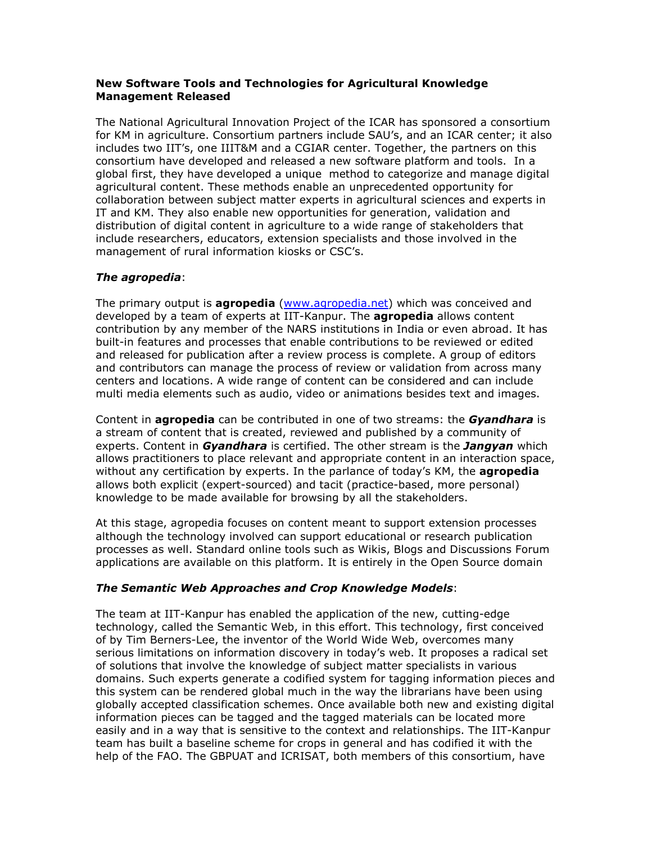### New Software Tools and Technologies for Agricultural Knowledge Management Released

The National Agricultural Innovation Project of the ICAR has sponsored a consortium for KM in agriculture. Consortium partners include SAU's, and an ICAR center; it also includes two IIT's, one IIIT&M and a CGIAR center. Together, the partners on this consortium have developed and released a new software platform and tools. In a global first, they have developed a unique method to categorize and manage digital agricultural content. These methods enable an unprecedented opportunity for collaboration between subject matter experts in agricultural sciences and experts in IT and KM. They also enable new opportunities for generation, validation and distribution of digital content in agriculture to a wide range of stakeholders that include researchers, educators, extension specialists and those involved in the management of rural information kiosks or CSC's.

# The agropedia:

The primary output is **agropedia** (www.agropedia.net) which was conceived and developed by a team of experts at IIT-Kanpur. The **agropedia** allows content contribution by any member of the NARS institutions in India or even abroad. It has built-in features and processes that enable contributions to be reviewed or edited and released for publication after a review process is complete. A group of editors and contributors can manage the process of review or validation from across many centers and locations. A wide range of content can be considered and can include multi media elements such as audio, video or animations besides text and images.

Content in **agropedia** can be contributed in one of two streams: the **Gyandhara** is a stream of content that is created, reviewed and published by a community of experts. Content in *Gyandhara* is certified. The other stream is the **Jangyan** which allows practitioners to place relevant and appropriate content in an interaction space, without any certification by experts. In the parlance of today's KM, the **agropedia** allows both explicit (expert-sourced) and tacit (practice-based, more personal) knowledge to be made available for browsing by all the stakeholders.

At this stage, agropedia focuses on content meant to support extension processes although the technology involved can support educational or research publication processes as well. Standard online tools such as Wikis, Blogs and Discussions Forum applications are available on this platform. It is entirely in the Open Source domain

# The Semantic Web Approaches and Crop Knowledge Models:

The team at IIT-Kanpur has enabled the application of the new, cutting-edge technology, called the Semantic Web, in this effort. This technology, first conceived of by Tim Berners-Lee, the inventor of the World Wide Web, overcomes many serious limitations on information discovery in today's web. It proposes a radical set of solutions that involve the knowledge of subject matter specialists in various domains. Such experts generate a codified system for tagging information pieces and this system can be rendered global much in the way the librarians have been using globally accepted classification schemes. Once available both new and existing digital information pieces can be tagged and the tagged materials can be located more easily and in a way that is sensitive to the context and relationships. The IIT-Kanpur team has built a baseline scheme for crops in general and has codified it with the help of the FAO. The GBPUAT and ICRISAT, both members of this consortium, have